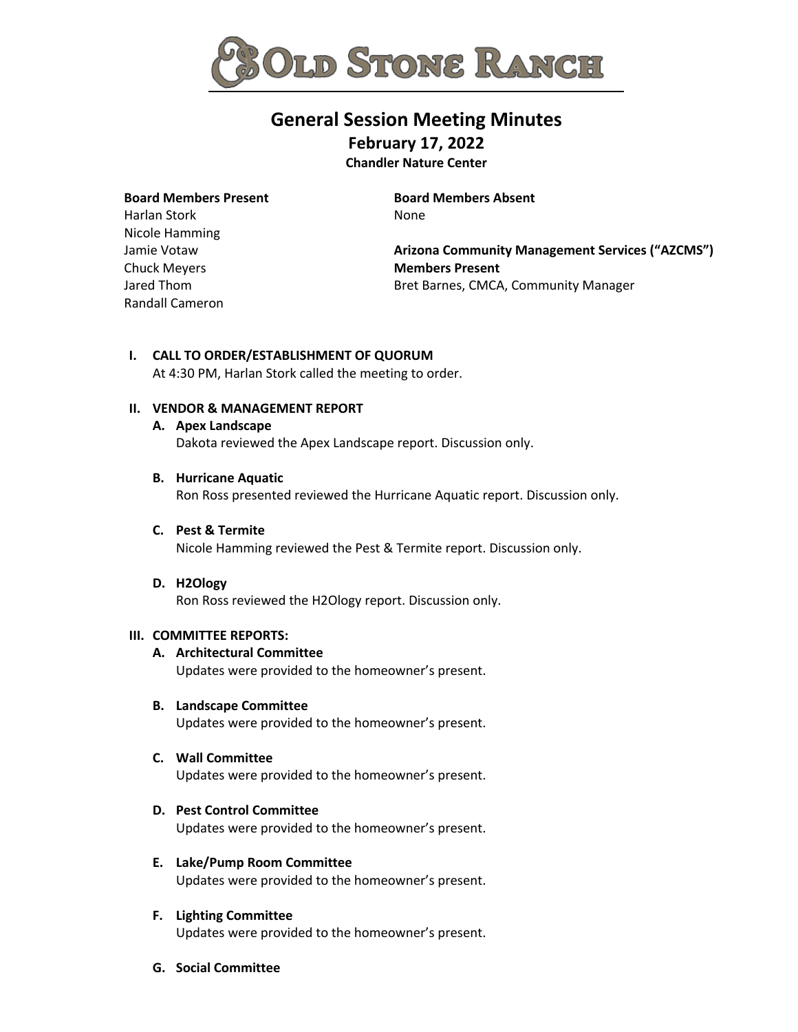

# **General Session Meeting Minutes February 17, 2022**

**Chandler Nature Center**

# **Board Members Present**

Harlan Stork Nicole Hamming Jamie Votaw Chuck Meyers Jared Thom Randall Cameron **Board Members Absent** None

**Arizona Community Management Services ("AZCMS") Members Present** Bret Barnes, CMCA, Community Manager

#### **I. CALL TO ORDER/ESTABLISHMENT OF QUORUM**

At 4:30 PM, Harlan Stork called the meeting to order.

# **II. VENDOR & MANAGEMENT REPORT**

# **A. Apex Landscape**

Dakota reviewed the Apex Landscape report. Discussion only.

#### **B. Hurricane Aquatic**

Ron Ross presented reviewed the Hurricane Aquatic report. Discussion only.

#### **C. Pest & Termite**

Nicole Hamming reviewed the Pest & Termite report. Discussion only.

#### **D. H2Ology**

Ron Ross reviewed the H2Ology report. Discussion only.

#### **III. COMMITTEE REPORTS:**

# **A. Architectural Committee**

Updates were provided to the homeowner's present.

#### **B. Landscape Committee**

Updates were provided to the homeowner's present.

#### **C. Wall Committee**

Updates were provided to the homeowner's present.

# **D. Pest Control Committee**

Updates were provided to the homeowner's present.

#### **E. Lake/Pump Room Committee** Updates were provided to the homeowner's present.

**F. Lighting Committee** Updates were provided to the homeowner's present.

# **G. Social Committee**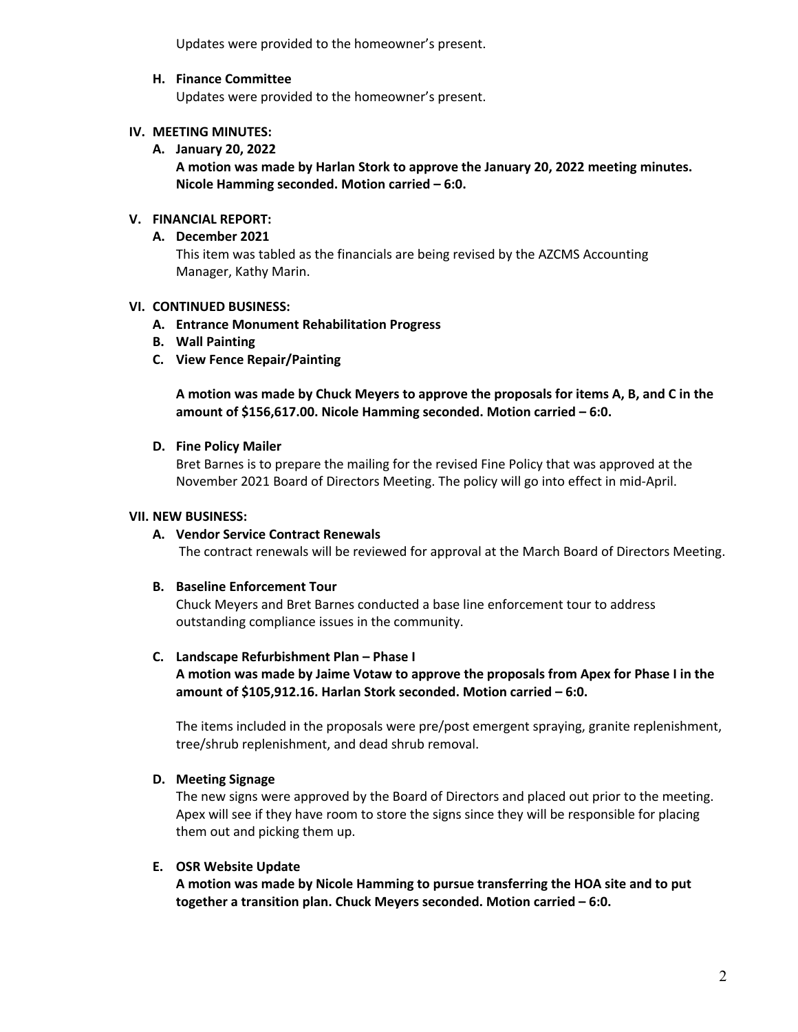Updates were provided to the homeowner's present.

#### **H. Finance Committee**

Updates were provided to the homeowner's present.

# **IV. MEETING MINUTES:**

**A. January 20, 2022**

**A motion was made by Harlan Stork to approve the January 20, 2022 meeting minutes. Nicole Hamming seconded. Motion carried – 6:0.**

# **V. FINANCIAL REPORT:**

# **A. December 2021**

This item was tabled as the financials are being revised by the AZCMS Accounting Manager, Kathy Marin.

# **VI. CONTINUED BUSINESS:**

- **A. Entrance Monument Rehabilitation Progress**
- **B. Wall Painting**
- **C. View Fence Repair/Painting**

**A motion was made by Chuck Meyers to approve the proposals for items A, B, and C in the amount of \$156,617.00. Nicole Hamming seconded. Motion carried – 6:0.**

#### **D. Fine Policy Mailer**

Bret Barnes is to prepare the mailing for the revised Fine Policy that was approved at the November 2021 Board of Directors Meeting. The policy will go into effect in mid-April.

# **VII. NEW BUSINESS:**

# **A. Vendor Service Contract Renewals**

The contract renewals will be reviewed for approval at the March Board of Directors Meeting.

#### **B. Baseline Enforcement Tour**

Chuck Meyers and Bret Barnes conducted a base line enforcement tour to address outstanding compliance issues in the community.

#### **C. Landscape Refurbishment Plan – Phase I**

**A motion was made by Jaime Votaw to approve the proposals from Apex for Phase I in the amount of \$105,912.16. Harlan Stork seconded. Motion carried – 6:0.**

The items included in the proposals were pre/post emergent spraying, granite replenishment, tree/shrub replenishment, and dead shrub removal.

#### **D. Meeting Signage**

The new signs were approved by the Board of Directors and placed out prior to the meeting. Apex will see if they have room to store the signs since they will be responsible for placing them out and picking them up.

#### **E. OSR Website Update**

**A motion was made by Nicole Hamming to pursue transferring the HOA site and to put together a transition plan. Chuck Meyers seconded. Motion carried – 6:0.**